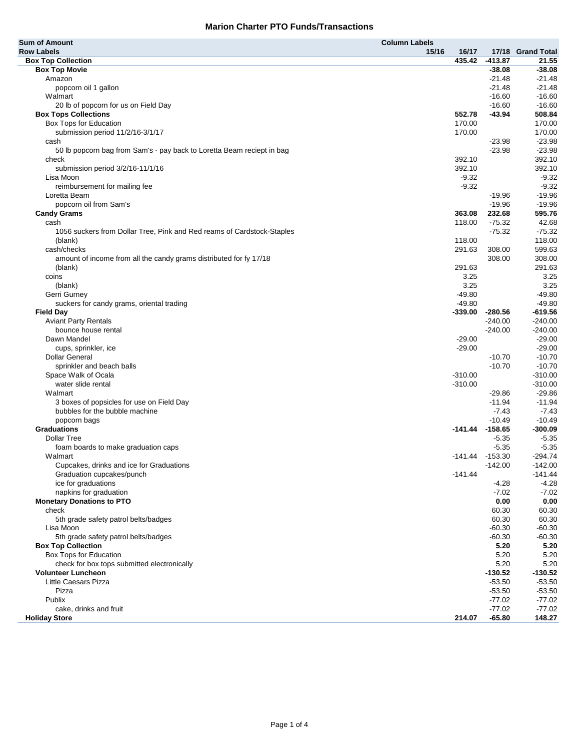| <b>Sum of Amount</b>                                                   | <b>Column Labels</b> |                     |                   |
|------------------------------------------------------------------------|----------------------|---------------------|-------------------|
| <b>Row Labels</b>                                                      | 15/16<br>16/17       |                     | 17/18 Grand Total |
| <b>Box Top Collection</b>                                              | 435.42               | $-413.87$           | 21.55             |
| <b>Box Top Movie</b>                                                   |                      | $-38.08$            | $-38.08$          |
| Amazon                                                                 |                      | $-21.48$            | $-21.48$          |
| popcorn oil 1 gallon                                                   |                      | $-21.48$            | $-21.48$          |
| Walmart                                                                |                      | $-16.60$            | $-16.60$          |
| 20 lb of popcorn for us on Field Day                                   |                      | $-16.60$            | $-16.60$          |
| <b>Box Tops Collections</b>                                            | 552.78               | $-43.94$            | 508.84            |
| Box Tops for Education                                                 | 170.00               |                     | 170.00            |
| submission period 11/2/16-3/1/17                                       | 170.00               |                     | 170.00            |
| cash                                                                   |                      | $-23.98$            | $-23.98$          |
| 50 lb popcorn bag from Sam's - pay back to Loretta Beam reciept in bag |                      | $-23.98$            | $-23.98$          |
| check                                                                  | 392.10               |                     | 392.10            |
| submission period 3/2/16-11/1/16                                       | 392.10               |                     | 392.10            |
| Lisa Moon                                                              | $-9.32$              |                     | $-9.32$           |
| reimbursement for mailing fee                                          | $-9.32$              |                     | $-9.32$           |
| Loretta Beam                                                           |                      | $-19.96$            | $-19.96$          |
| popcorn oil from Sam's                                                 |                      | $-19.96$            | $-19.96$          |
| <b>Candy Grams</b>                                                     | 363.08               | 232.68              | 595.76            |
| cash                                                                   | 118.00               | $-75.32$            | 42.68             |
| 1056 suckers from Dollar Tree, Pink and Red reams of Cardstock-Staples |                      | $-75.32$            | $-75.32$          |
| (blank)                                                                | 118.00               |                     | 118.00            |
| cash/checks                                                            | 291.63               | 308.00              | 599.63            |
| amount of income from all the candy grams distributed for fy 17/18     |                      | 308.00              | 308.00            |
| (blank)                                                                | 291.63               |                     | 291.63            |
| coins                                                                  | 3.25                 |                     | 3.25              |
| (blank)                                                                | 3.25                 |                     | 3.25              |
| Gerri Gurney                                                           | $-49.80$             |                     | $-49.80$          |
| suckers for candy grams, oriental trading                              | $-49.80$             |                     | $-49.80$          |
| <b>Field Day</b>                                                       | $-339.00$            | $-280.56$           | -619.56           |
| <b>Aviant Party Rentals</b>                                            |                      | $-240.00$           | $-240.00$         |
| bounce house rental                                                    |                      | $-240.00$           | $-240.00$         |
| Dawn Mandel                                                            | $-29.00$             |                     | $-29.00$          |
| cups, sprinkler, ice                                                   | $-29.00$             |                     | $-29.00$          |
| <b>Dollar General</b>                                                  |                      | $-10.70$            | $-10.70$          |
| sprinkler and beach balls                                              |                      | $-10.70$            | $-10.70$          |
| Space Walk of Ocala                                                    | $-310.00$            |                     | $-310.00$         |
| water slide rental                                                     | $-310.00$            |                     | $-310.00$         |
| Walmart                                                                |                      | $-29.86$            | $-29.86$          |
| 3 boxes of popsicles for use on Field Day                              |                      | $-11.94$            | $-11.94$          |
| bubbles for the bubble machine                                         |                      | $-7.43$             | $-7.43$           |
| popcorn bags                                                           |                      | $-10.49$            | $-10.49$          |
| <b>Graduations</b>                                                     |                      | $-141.44$ $-158.65$ | $-300.09$         |
| <b>Dollar Tree</b>                                                     |                      | $-5.35$             | $-5.35$           |
| foam boards to make graduation caps                                    |                      | $-5.35$             | $-5.35$           |
| Walmart                                                                |                      | $-141.44$ $-153.30$ | $-294.74$         |
| Cupcakes, drinks and ice for Graduations                               |                      | $-142.00$           | $-142.00$         |
| Graduation cupcakes/punch                                              | $-141.44$            |                     | $-141.44$         |
| ice for graduations                                                    |                      | -4.28               | -4.28             |
| napkins for graduation                                                 |                      | $-7.02$             | $-7.02$           |
| <b>Monetary Donations to PTO</b>                                       |                      | 0.00                | 0.00              |
| check                                                                  |                      | 60.30               | 60.30             |
| 5th grade safety patrol belts/badges                                   |                      | 60.30               | 60.30             |
| Lisa Moon                                                              |                      | $-60.30$            | $-60.30$          |
| 5th grade safety patrol belts/badges                                   |                      | $-60.30$            | $-60.30$          |
| <b>Box Top Collection</b>                                              |                      | 5.20                | 5.20              |
| Box Tops for Education                                                 |                      | 5.20                | 5.20              |
| check for box tops submitted electronically                            |                      | 5.20                | 5.20              |
| <b>Volunteer Luncheon</b>                                              |                      | $-130.52$           | $-130.52$         |
| <b>Little Caesars Pizza</b>                                            |                      | $-53.50$            | $-53.50$          |
| Pizza                                                                  |                      | $-53.50$            | $-53.50$          |
| Publix                                                                 |                      | $-77.02$            | $-77.02$          |
| cake, drinks and fruit                                                 |                      | $-77.02$            | $-77.02$          |
| <b>Holiday Store</b>                                                   | 214.07               | $-65.80$            | 148.27            |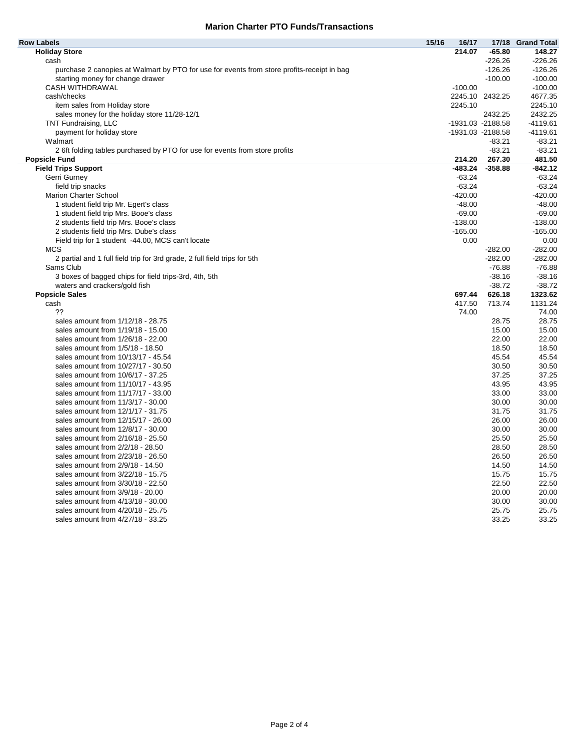| <b>Row Labels</b>                                                                          | 15/16 | 16/17     | 17/18             | <b>Grand Total</b> |
|--------------------------------------------------------------------------------------------|-------|-----------|-------------------|--------------------|
| <b>Holiday Store</b>                                                                       |       | 214.07    | $-65.80$          | 148.27             |
| cash                                                                                       |       |           | $-226.26$         | $-226.26$          |
| purchase 2 canopies at Walmart by PTO for use for events from store profits-receipt in bag |       |           | $-126.26$         | $-126.26$          |
| starting money for change drawer                                                           |       |           | $-100.00$         | $-100.00$          |
| CASH WITHDRAWAL                                                                            |       | $-100.00$ |                   | $-100.00$          |
| cash/checks                                                                                |       |           | 2245.10 2432.25   | 4677.35            |
| item sales from Holiday store                                                              |       | 2245.10   |                   | 2245.10            |
| sales money for the holiday store 11/28-12/1                                               |       |           | 2432.25           | 2432.25            |
| TNT Fundraising, LLC                                                                       |       |           | -1931.03 -2188.58 | $-4119.61$         |
| payment for holiday store                                                                  |       |           | -1931.03 -2188.58 | -4119.61           |
| Walmart                                                                                    |       |           | $-83.21$          | $-83.21$           |
| 2 6ft folding tables purchased by PTO for use for events from store profits                |       |           | $-83.21$          | $-83.21$           |
| <b>Popsicle Fund</b>                                                                       |       | 214.20    | 267.30            | 481.50             |
| <b>Field Trips Support</b>                                                                 |       | -483.24   | $-358.88$         | $-842.12$          |
| Gerri Gurney                                                                               |       | $-63.24$  |                   | $-63.24$           |
| field trip snacks                                                                          |       | $-63.24$  |                   | $-63.24$           |
| <b>Marion Charter School</b>                                                               |       | $-420.00$ |                   | $-420.00$          |
| 1 student field trip Mr. Egert's class                                                     |       | $-48.00$  |                   | $-48.00$           |
| 1 student field trip Mrs. Booe's class                                                     |       | $-69.00$  |                   | $-69.00$           |
| 2 students field trip Mrs. Booe's class                                                    |       | $-138.00$ |                   | $-138.00$          |
| 2 students field trip Mrs. Dube's class                                                    |       | $-165.00$ |                   | $-165.00$          |
| Field trip for 1 student -44.00, MCS can't locate                                          |       | 0.00      |                   | 0.00               |
| <b>MCS</b>                                                                                 |       |           | $-282.00$         | $-282.00$          |
| 2 partial and 1 full field trip for 3rd grade, 2 full field trips for 5th                  |       |           | $-282.00$         | $-282.00$          |
| Sams Club                                                                                  |       |           | $-76.88$          | $-76.88$           |
| 3 boxes of bagged chips for field trips-3rd, 4th, 5th                                      |       |           | $-38.16$          | $-38.16$           |
| waters and crackers/gold fish                                                              |       |           | $-38.72$          | $-38.72$           |
| <b>Popsicle Sales</b>                                                                      |       | 697.44    | 626.18            | 1323.62            |
| cash                                                                                       |       | 417.50    | 713.74            | 1131.24            |
| ??                                                                                         |       | 74.00     |                   | 74.00              |
| sales amount from 1/12/18 - 28.75                                                          |       |           | 28.75             | 28.75              |
| sales amount from 1/19/18 - 15.00                                                          |       |           | 15.00             | 15.00              |
| sales amount from 1/26/18 - 22.00                                                          |       |           | 22.00             | 22.00              |
| sales amount from 1/5/18 - 18.50                                                           |       |           | 18.50             | 18.50              |
| sales amount from 10/13/17 - 45.54                                                         |       |           | 45.54             | 45.54              |
| sales amount from 10/27/17 - 30.50                                                         |       |           | 30.50             | 30.50              |
| sales amount from 10/6/17 - 37.25                                                          |       |           | 37.25             | 37.25              |
| sales amount from 11/10/17 - 43.95                                                         |       |           | 43.95             | 43.95              |
| sales amount from 11/17/17 - 33.00                                                         |       |           | 33.00             | 33.00              |
| sales amount from 11/3/17 - 30.00                                                          |       |           | 30.00             | 30.00              |
| sales amount from 12/1/17 - 31.75                                                          |       |           | 31.75             | 31.75              |
| sales amount from 12/15/17 - 26.00                                                         |       |           | 26.00             | 26.00              |
| sales amount from 12/8/17 - 30.00                                                          |       |           | 30.00             | 30.00              |
| sales amount from 2/16/18 - 25.50                                                          |       |           | 25.50             | 25.50              |
| sales amount from 2/2/18 - 28.50                                                           |       |           | 28.50             | 28.50              |
| sales amount from 2/23/18 - 26.50                                                          |       |           | 26.50             | 26.50              |
| sales amount from 2/9/18 - 14.50                                                           |       |           | 14.50             | 14.50              |
| sales amount from 3/22/18 - 15.75                                                          |       |           | 15.75             | 15.75              |
| sales amount from 3/30/18 - 22.50                                                          |       |           | 22.50             | 22.50              |
| sales amount from 3/9/18 - 20.00                                                           |       |           | 20.00             | 20.00              |
|                                                                                            |       |           |                   |                    |
| sales amount from 4/13/18 - 30.00                                                          |       |           | 30.00             | 30.00              |
| sales amount from 4/20/18 - 25.75<br>sales amount from 4/27/18 - 33.25                     |       |           | 25.75<br>33.25    | 25.75<br>33.25     |
|                                                                                            |       |           |                   |                    |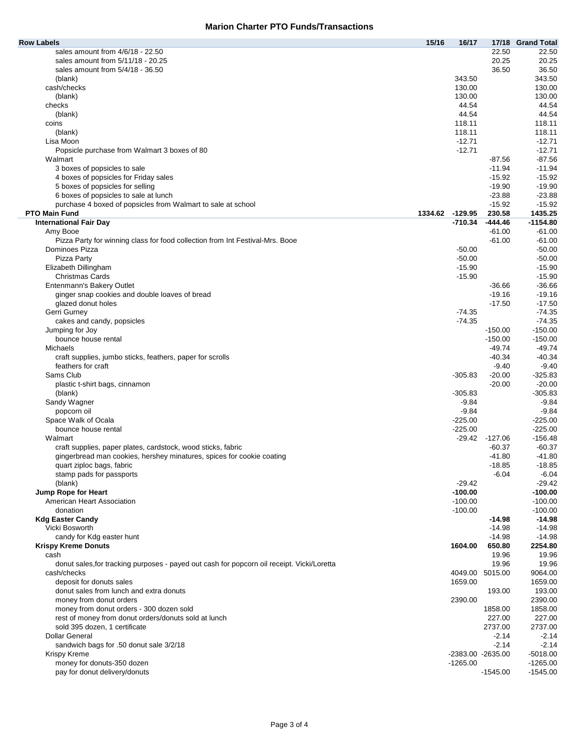| <b>Row Labels</b>                                                                                | 15/16           | 16/17             |                    | 17/18 Grand Total |
|--------------------------------------------------------------------------------------------------|-----------------|-------------------|--------------------|-------------------|
| sales amount from 4/6/18 - 22.50                                                                 |                 |                   | 22.50              | 22.50             |
| sales amount from 5/11/18 - 20.25                                                                |                 |                   | 20.25              | 20.25             |
| sales amount from $5/4/18 - 36.50$                                                               |                 |                   | 36.50              | 36.50             |
| (blank)                                                                                          |                 | 343.50            |                    | 343.50            |
| cash/checks                                                                                      |                 | 130.00            |                    | 130.00            |
| (blank)                                                                                          |                 | 130.00            |                    | 130.00            |
| checks                                                                                           |                 | 44.54             |                    | 44.54             |
| (blank)                                                                                          |                 | 44.54             |                    | 44.54             |
| coins                                                                                            |                 | 118.11            |                    | 118.11            |
| (blank)                                                                                          |                 | 118.11            |                    | 118.11            |
| Lisa Moon                                                                                        |                 | $-12.71$          |                    | $-12.71$          |
| Popsicle purchase from Walmart 3 boxes of 80                                                     |                 | $-12.71$          |                    | $-12.71$          |
| Walmart                                                                                          |                 |                   | $-87.56$           | $-87.56$          |
| 3 boxes of popsicles to sale                                                                     |                 |                   | $-11.94$           | $-11.94$          |
| 4 boxes of popsicles for Friday sales                                                            |                 |                   | $-15.92$           | $-15.92$          |
| 5 boxes of popsicles for selling                                                                 |                 |                   | $-19.90$           | $-19.90$          |
| 6 boxes of popsicles to sale at lunch                                                            |                 |                   | $-23.88$           | $-23.88$          |
| purchase 4 boxed of popsicles from Walmart to sale at school                                     |                 |                   | $-15.92$           | $-15.92$          |
| <b>PTO Main Fund</b>                                                                             | 1334.62 -129.95 |                   | 230.58             | 1435.25           |
| <b>International Fair Day</b>                                                                    |                 | $-710.34$         | $-444.46$          | $-1154.80$        |
| Amy Booe                                                                                         |                 |                   | $-61.00$           | $-61.00$          |
| Pizza Party for winning class for food collection from Int Festival-Mrs. Booe                    |                 |                   | $-61.00$           | $-61.00$          |
| Dominoes Pizza                                                                                   |                 | $-50.00$          |                    | $-50.00$          |
| Pizza Party                                                                                      |                 | $-50.00$          |                    | $-50.00$          |
|                                                                                                  |                 | $-15.90$          |                    |                   |
| Elizabeth Dillingham                                                                             |                 |                   |                    | $-15.90$          |
| <b>Christmas Cards</b>                                                                           |                 | $-15.90$          |                    | $-15.90$          |
| Entenmann's Bakery Outlet                                                                        |                 |                   | $-36.66$           | $-36.66$          |
| ginger snap cookies and double loaves of bread                                                   |                 |                   | $-19.16$           | -19.16            |
| glazed donut holes                                                                               |                 |                   | $-17.50$           | $-17.50$          |
| Gerri Gurney                                                                                     |                 | $-74.35$          |                    | $-74.35$          |
| cakes and candy, popsicles                                                                       |                 | $-74.35$          |                    | $-74.35$          |
| Jumping for Joy                                                                                  |                 |                   | $-150.00$          | $-150.00$         |
| bounce house rental                                                                              |                 |                   | $-150.00$          | $-150.00$         |
| <b>Michaels</b>                                                                                  |                 |                   | $-49.74$           | $-49.74$          |
| craft supplies, jumbo sticks, feathers, paper for scrolls                                        |                 |                   | $-40.34$           | $-40.34$          |
| feathers for craft                                                                               |                 |                   | $-9.40$            | $-9.40$           |
| Sams Club                                                                                        |                 | $-305.83$         | $-20.00$           | $-325.83$         |
| plastic t-shirt bags, cinnamon                                                                   |                 |                   | $-20.00$           | $-20.00$          |
| (blank)                                                                                          |                 | $-305.83$         |                    | $-305.83$         |
| Sandy Wagner                                                                                     |                 | $-9.84$           |                    | -9.84             |
| popcorn oil                                                                                      |                 | $-9.84$           |                    | $-9.84$           |
| Space Walk of Ocala                                                                              |                 | $-225.00$         |                    | $-225.00$         |
| bounce house rental                                                                              |                 | $-225.00$         |                    | $-225.00$         |
| Walmart                                                                                          |                 | $-29.42$          | $-127.06$          | $-156.48$         |
| craft supplies, paper plates, cardstock, wood sticks, fabric                                     |                 |                   | $-60.37$           | $-60.37$          |
| gingerbread man cookies, hershey minatures, spices for cookie coating                            |                 |                   | $-41.80$           | $-41.80$          |
| quart ziploc bags, fabric                                                                        |                 |                   | -18.85             | -18.85            |
| stamp pads for passports                                                                         |                 |                   | $-6.04$            | $-6.04$           |
| (blank)                                                                                          |                 | $-29.42$          |                    | $-29.42$          |
| Jump Rope for Heart                                                                              |                 | $-100.00$         |                    | $-100.00$         |
| American Heart Association                                                                       |                 | $-100.00$         |                    | $-100.00$         |
| donation                                                                                         |                 | $-100.00$         |                    | $-100.00$         |
| <b>Kdg Easter Candy</b>                                                                          |                 |                   | $-14.98$           | -14.98            |
| Vicki Bosworth                                                                                   |                 |                   | $-14.98$           | $-14.98$          |
| candy for Kdg easter hunt                                                                        |                 |                   | $-14.98$           | $-14.98$          |
| <b>Krispy Kreme Donuts</b>                                                                       |                 | 1604.00           | 650.80             | 2254.80           |
| cash                                                                                             |                 |                   | 19.96              | 19.96             |
| donut sales, for tracking purposes - payed out cash for popcorn oil receipt. Vicki/Loretta       |                 |                   | 19.96              | 19.96             |
| cash/checks                                                                                      |                 |                   | 4049.00 5015.00    | 9064.00           |
| deposit for donuts sales                                                                         |                 | 1659.00           |                    | 1659.00           |
| donut sales from lunch and extra donuts                                                          |                 |                   | 193.00             | 193.00            |
| money from donut orders                                                                          |                 | 2390.00           |                    | 2390.00           |
|                                                                                                  |                 |                   | 1858.00            | 1858.00           |
| money from donut orders - 300 dozen sold<br>rest of money from donut orders/donuts sold at lunch |                 |                   | 227.00             | 227.00            |
|                                                                                                  |                 |                   | 2737.00            | 2737.00           |
| sold 395 dozen, 1 certificate                                                                    |                 |                   |                    |                   |
| <b>Dollar General</b>                                                                            |                 |                   | $-2.14$<br>$-2.14$ | $-2.14$           |
| sandwich bags for .50 donut sale 3/2/18                                                          |                 |                   |                    | $-2.14$           |
| Krispy Kreme                                                                                     |                 | -2383.00 -2635.00 |                    | $-5018.00$        |
| money for donuts-350 dozen                                                                       |                 | $-1265.00$        |                    | $-1265.00$        |
| pay for donut delivery/donuts                                                                    |                 |                   | $-1545.00$         | $-1545.00$        |